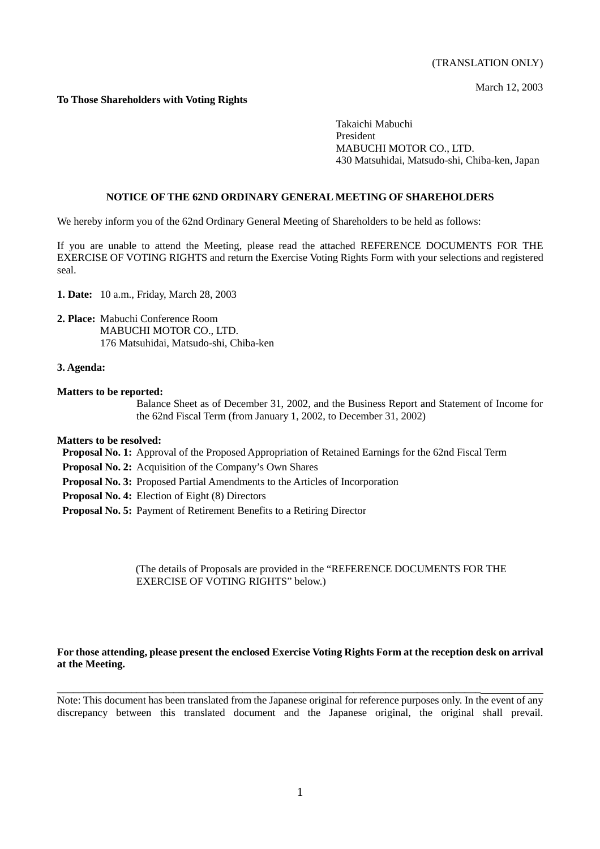March 12, 2003

# **To Those Shareholders with Voting Rights**

Takaichi Mabuchi President MABUCHI MOTOR CO., LTD. 430 Matsuhidai, Matsudo-shi, Chiba-ken, Japan

## **NOTICE OF THE 62ND ORDINARY GENERAL MEETING OF SHAREHOLDERS**

We hereby inform you of the 62nd Ordinary General Meeting of Shareholders to be held as follows:

If you are unable to attend the Meeting, please read the attached REFERENCE DOCUMENTS FOR THE EXERCISE OF VOTING RIGHTS and return the Exercise Voting Rights Form with your selections and registered seal.

**1. Date:** 10 a.m., Friday, March 28, 2003

**2. Place:** Mabuchi Conference Room MABUCHI MOTOR CO., LTD. 176 Matsuhidai, Matsudo-shi, Chiba-ken

#### **3. Agenda:**

**Matters to be reported:**

Balance Sheet as of December 31, 2002, and the Business Report and Statement of Income for the 62nd Fiscal Term (from January 1, 2002, to December 31, 2002)

### **Matters to be resolved:**

 **Proposal No. 1:** Approval of the Proposed Appropriation of Retained Earnings for the 62nd Fiscal Term

- **Proposal No. 2:** Acquisition of the Company's Own Shares
- **Proposal No. 3:** Proposed Partial Amendments to the Articles of Incorporation
- **Proposal No. 4:** Election of Eight (8) Directors
- **Proposal No. 5:** Payment of Retirement Benefits to a Retiring Director

(The details of Proposals are provided in the "REFERENCE DOCUMENTS FOR THE EXERCISE OF VOTING RIGHTS" below.)

# **For those attending, please present the enclosed Exercise Voting Rights Form at the reception desk on arrival at the Meeting.**

Note: This document has been translated from the Japanese original for reference purposes only. In the event of any discrepancy between this translated document and the Japanese original, the original shall prevail.

 $\_$  , and the set of the set of the set of the set of the set of the set of the set of the set of the set of the set of the set of the set of the set of the set of the set of the set of the set of the set of the set of th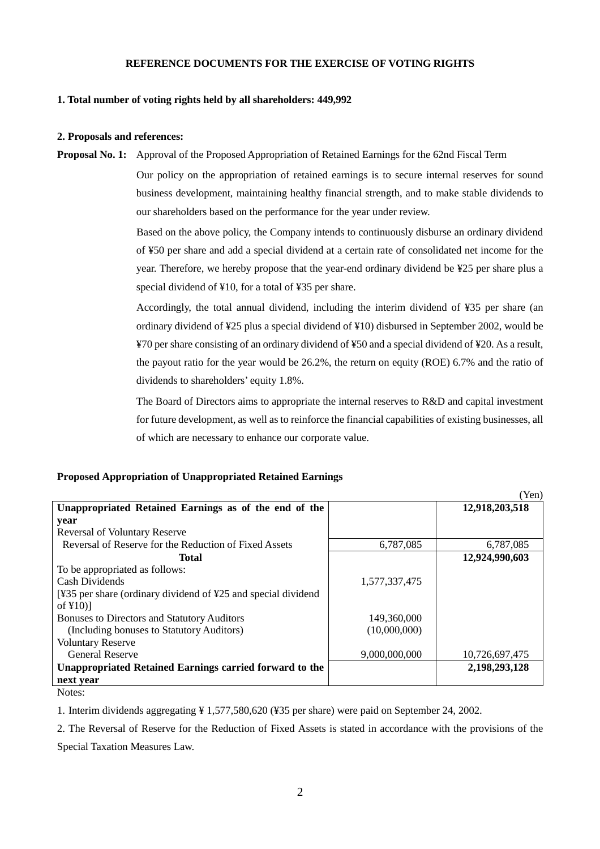# **REFERENCE DOCUMENTS FOR THE EXERCISE OF VOTING RIGHTS**

# **1. Total number of voting rights held by all shareholders: 449,992**

### **2. Proposals and references:**

**Proposal No. 1:** Approval of the Proposed Appropriation of Retained Earnings for the 62nd Fiscal Term

 Our policy on the appropriation of retained earnings is to secure internal reserves for sound business development, maintaining healthy financial strength, and to make stable dividends to our shareholders based on the performance for the year under review.

 Based on the above policy, the Company intends to continuously disburse an ordinary dividend of ¥50 per share and add a special dividend at a certain rate of consolidated net income for the year. Therefore, we hereby propose that the year-end ordinary dividend be ¥25 per share plus a special dividend of ¥10, for a total of ¥35 per share.

 Accordingly, the total annual dividend, including the interim dividend of ¥35 per share (an ordinary dividend of ¥25 plus a special dividend of ¥10) disbursed in September 2002, would be ¥70 per share consisting of an ordinary dividend of ¥50 and a special dividend of ¥20. As a result, the payout ratio for the year would be 26.2%, the return on equity (ROE) 6.7% and the ratio of dividends to shareholders' equity 1.8%.

The Board of Directors aims to appropriate the internal reserves to R&D and capital investment for future development, as well as to reinforce the financial capabilities of existing businesses, all of which are necessary to enhance our corporate value.

# **Proposed Appropriation of Unappropriated Retained Earnings**

|                                                               |               | (Yen)          |
|---------------------------------------------------------------|---------------|----------------|
| Unappropriated Retained Earnings as of the end of the         |               | 12,918,203,518 |
| year                                                          |               |                |
| <b>Reversal of Voluntary Reserve</b>                          |               |                |
| Reversal of Reserve for the Reduction of Fixed Assets         | 6,787,085     | 6,787,085      |
| Total                                                         |               | 12,924,990,603 |
| To be appropriated as follows:                                |               |                |
| Cash Dividends                                                | 1.577.337.475 |                |
| [¥35 per share (ordinary dividend of ¥25 and special dividend |               |                |
| of $\text{\sf f10}$ ]                                         |               |                |
| <b>Bonuses to Directors and Statutory Auditors</b>            | 149,360,000   |                |
| (Including bonuses to Statutory Auditors)                     | (10,000,000)  |                |
| <b>Voluntary Reserve</b>                                      |               |                |
| <b>General Reserve</b>                                        | 9,000,000,000 | 10,726,697,475 |
| Unappropriated Retained Earnings carried forward to the       |               | 2,198,293,128  |
| next year                                                     |               |                |

Notes:

1. Interim dividends aggregating ¥ 1,577,580,620 (¥35 per share) were paid on September 24, 2002.

2. The Reversal of Reserve for the Reduction of Fixed Assets is stated in accordance with the provisions of the Special Taxation Measures Law.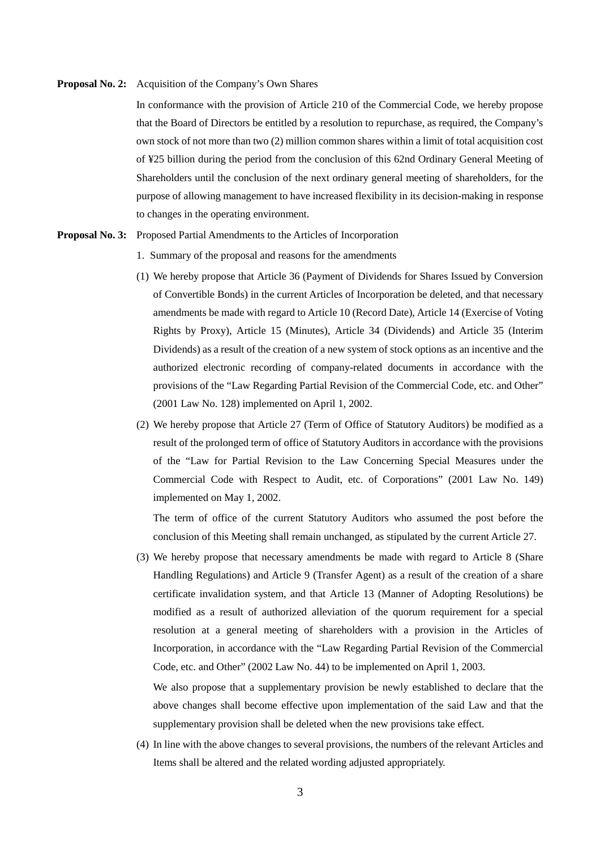#### **Proposal No. 2:** Acquisition of the Company's Own Shares

In conformance with the provision of Article 210 of the Commercial Code, we hereby propose that the Board of Directors be entitled by a resolution to repurchase, as required, the Company's own stock of not more than two (2) million common shares within a limit of total acquisition cost of ¥25 billion during the period from the conclusion of this 62nd Ordinary General Meeting of Shareholders until the conclusion of the next ordinary general meeting of shareholders, for the purpose of allowing management to have increased flexibility in its decision-making in response to changes in the operating environment.

#### **Proposal No. 3:** Proposed Partial Amendments to the Articles of Incorporation

- 1. Summary of the proposal and reasons for the amendments
- (1) We hereby propose that Article 36 (Payment of Dividends for Shares Issued by Conversion of Convertible Bonds) in the current Articles of Incorporation be deleted, and that necessary amendments be made with regard to Article 10 (Record Date), Article 14 (Exercise of Voting Rights by Proxy), Article 15 (Minutes), Article 34 (Dividends) and Article 35 (Interim Dividends) as a result of the creation of a new system of stock options as an incentive and the authorized electronic recording of company-related documents in accordance with the provisions of the "Law Regarding Partial Revision of the Commercial Code, etc. and Other" (2001 Law No. 128) implemented on April 1, 2002.
- (2) We hereby propose that Article 27 (Term of Office of Statutory Auditors) be modified as a result of the prolonged term of office of Statutory Auditors in accordance with the provisions of the "Law for Partial Revision to the Law Concerning Special Measures under the Commercial Code with Respect to Audit, etc. of Corporations" (2001 Law No. 149) implemented on May 1, 2002.

The term of office of the current Statutory Auditors who assumed the post before the conclusion of this Meeting shall remain unchanged, as stipulated by the current Article 27.

(3) We hereby propose that necessary amendments be made with regard to Article 8 (Share Handling Regulations) and Article 9 (Transfer Agent) as a result of the creation of a share certificate invalidation system, and that Article 13 (Manner of Adopting Resolutions) be modified as a result of authorized alleviation of the quorum requirement for a special resolution at a general meeting of shareholders with a provision in the Articles of Incorporation, in accordance with the "Law Regarding Partial Revision of the Commercial Code, etc. and Other" (2002 Law No. 44) to be implemented on April 1, 2003.

We also propose that a supplementary provision be newly established to declare that the above changes shall become effective upon implementation of the said Law and that the supplementary provision shall be deleted when the new provisions take effect.

(4) In line with the above changes to several provisions, the numbers of the relevant Articles and Items shall be altered and the related wording adjusted appropriately.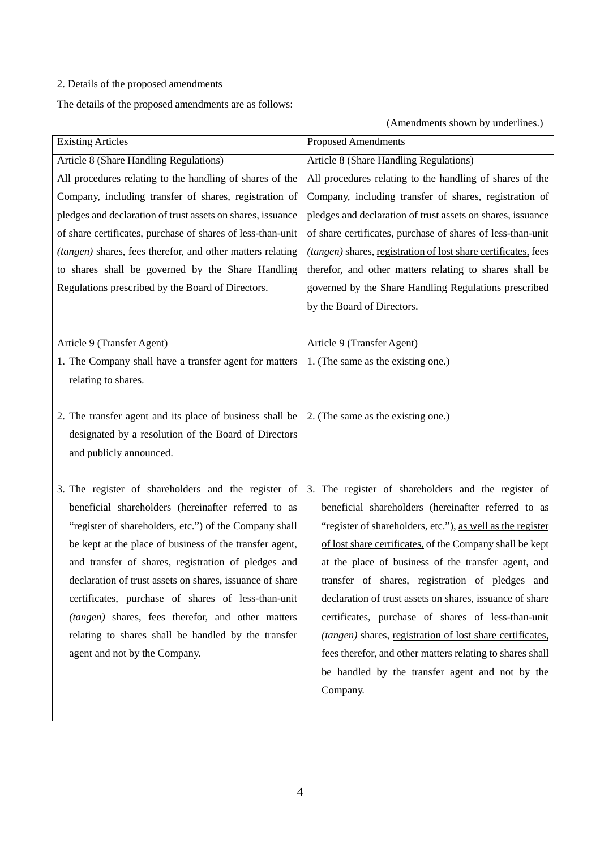# 2. Details of the proposed amendments

The details of the proposed amendments are as follows:

(Amendments shown by underlines.)

| <b>Existing Articles</b>                                    | <b>Proposed Amendments</b>                                     |
|-------------------------------------------------------------|----------------------------------------------------------------|
| Article 8 (Share Handling Regulations)                      | Article 8 (Share Handling Regulations)                         |
| All procedures relating to the handling of shares of the    | All procedures relating to the handling of shares of the       |
| Company, including transfer of shares, registration of      | Company, including transfer of shares, registration of         |
| pledges and declaration of trust assets on shares, issuance | pledges and declaration of trust assets on shares, issuance    |
| of share certificates, purchase of shares of less-than-unit | of share certificates, purchase of shares of less-than-unit    |
| (tangen) shares, fees therefor, and other matters relating  | (tangen) shares, registration of lost share certificates, fees |
| to shares shall be governed by the Share Handling           | therefor, and other matters relating to shares shall be        |
| Regulations prescribed by the Board of Directors.           | governed by the Share Handling Regulations prescribed          |
|                                                             | by the Board of Directors.                                     |
|                                                             |                                                                |
| Article 9 (Transfer Agent)                                  | Article 9 (Transfer Agent)                                     |
| 1. The Company shall have a transfer agent for matters      | 1. (The same as the existing one.)                             |
| relating to shares.                                         |                                                                |
|                                                             |                                                                |
| 2. The transfer agent and its place of business shall be    | 2. (The same as the existing one.)                             |
| designated by a resolution of the Board of Directors        |                                                                |
| and publicly announced.                                     |                                                                |
|                                                             |                                                                |
| 3. The register of shareholders and the register of         | 3. The register of shareholders and the register of            |
| beneficial shareholders (hereinafter referred to as         | beneficial shareholders (hereinafter referred to as            |
| "register of shareholders, etc.") of the Company shall      | "register of shareholders, etc."), as well as the register     |
| be kept at the place of business of the transfer agent,     | of lost share certificates, of the Company shall be kept       |
| and transfer of shares, registration of pledges and         | at the place of business of the transfer agent, and            |
| declaration of trust assets on shares, issuance of share    | transfer of shares, registration of pledges and                |
| certificates, purchase of shares of less-than-unit          | declaration of trust assets on shares, issuance of share       |
| (tangen) shares, fees therefor, and other matters           | certificates, purchase of shares of less-than-unit             |
| relating to shares shall be handled by the transfer         | (tangen) shares, registration of lost share certificates,      |
| agent and not by the Company.                               | fees therefor, and other matters relating to shares shall      |
|                                                             | be handled by the transfer agent and not by the                |
|                                                             | Company.                                                       |
|                                                             |                                                                |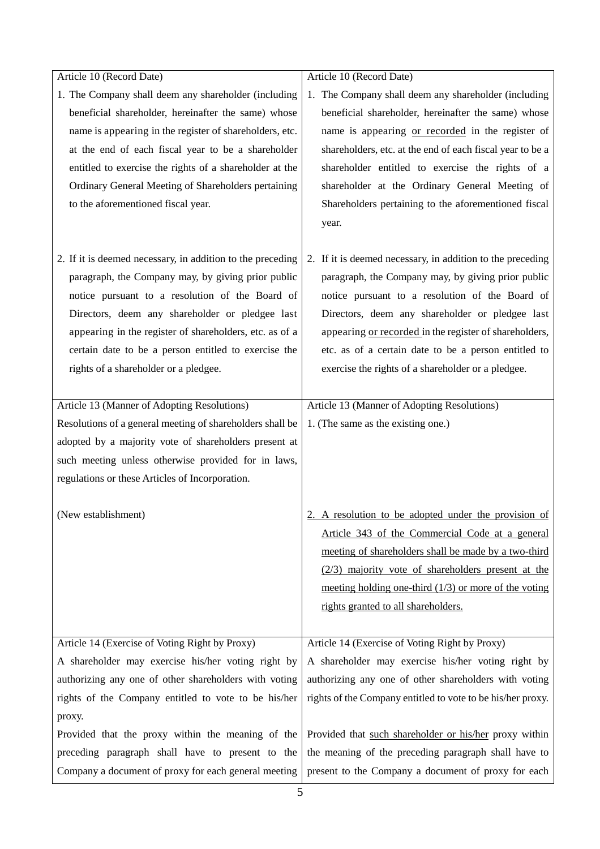| Article 10 (Record Date)                                   | Article 10 (Record Date)                                    |
|------------------------------------------------------------|-------------------------------------------------------------|
| 1. The Company shall deem any shareholder (including       | 1. The Company shall deem any shareholder (including        |
| beneficial shareholder, hereinafter the same) whose        | beneficial shareholder, hereinafter the same) whose         |
| name is appearing in the register of shareholders, etc.    | name is appearing or recorded in the register of            |
| at the end of each fiscal year to be a shareholder         | shareholders, etc. at the end of each fiscal year to be a   |
| entitled to exercise the rights of a shareholder at the    | shareholder entitled to exercise the rights of a            |
| Ordinary General Meeting of Shareholders pertaining        | shareholder at the Ordinary General Meeting of              |
| to the aforementioned fiscal year.                         | Shareholders pertaining to the aforementioned fiscal        |
|                                                            | year.                                                       |
|                                                            |                                                             |
| 2. If it is deemed necessary, in addition to the preceding | 2. If it is deemed necessary, in addition to the preceding  |
| paragraph, the Company may, by giving prior public         | paragraph, the Company may, by giving prior public          |
| notice pursuant to a resolution of the Board of            | notice pursuant to a resolution of the Board of             |
| Directors, deem any shareholder or pledgee last            | Directors, deem any shareholder or pledgee last             |
| appearing in the register of shareholders, etc. as of a    | appearing or recorded in the register of shareholders,      |
| certain date to be a person entitled to exercise the       | etc. as of a certain date to be a person entitled to        |
| rights of a shareholder or a pledgee.                      | exercise the rights of a shareholder or a pledgee.          |
|                                                            |                                                             |
| Article 13 (Manner of Adopting Resolutions)                | Article 13 (Manner of Adopting Resolutions)                 |
| Resolutions of a general meeting of shareholders shall be  | 1. (The same as the existing one.)                          |
| adopted by a majority vote of shareholders present at      |                                                             |
| such meeting unless otherwise provided for in laws,        |                                                             |
| regulations or these Articles of Incorporation.            |                                                             |
|                                                            |                                                             |
| (New establishment)                                        | 2. A resolution to be adopted under the provision of        |
|                                                            | Article 343 of the Commercial Code at a general             |
|                                                            | meeting of shareholders shall be made by a two-third        |
|                                                            | $(2/3)$ majority vote of shareholders present at the        |
|                                                            | meeting holding one-third $(1/3)$ or more of the voting     |
|                                                            | rights granted to all shareholders.                         |
|                                                            |                                                             |
| Article 14 (Exercise of Voting Right by Proxy)             | Article 14 (Exercise of Voting Right by Proxy)              |
| A shareholder may exercise his/her voting right by         | A shareholder may exercise his/her voting right by          |
| authorizing any one of other shareholders with voting      | authorizing any one of other shareholders with voting       |
| rights of the Company entitled to vote to be his/her       | rights of the Company entitled to vote to be his/her proxy. |
| proxy.                                                     |                                                             |
| Provided that the proxy within the meaning of the          | Provided that such shareholder or his/her proxy within      |
| preceding paragraph shall have to present to the           | the meaning of the preceding paragraph shall have to        |
| Company a document of proxy for each general meeting       | present to the Company a document of proxy for each         |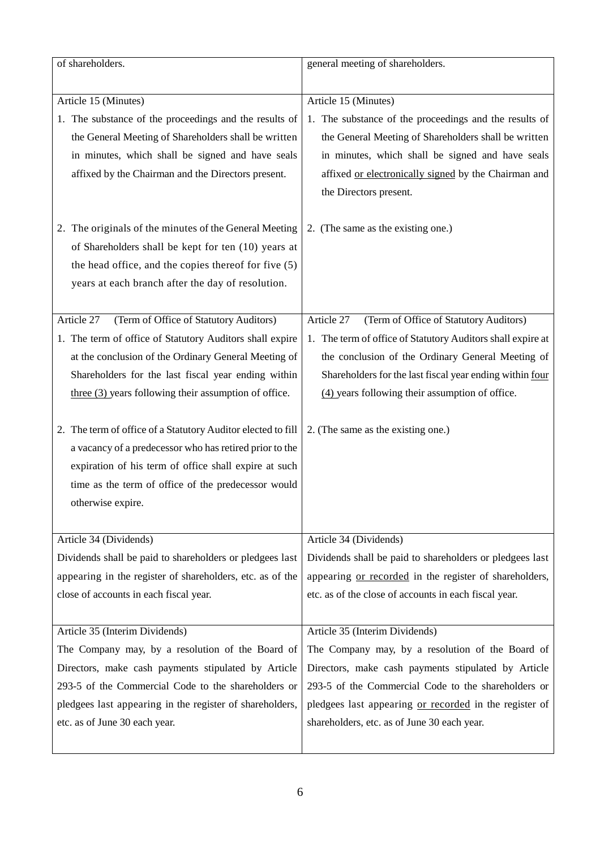| of shareholders.                                                                                                                                                                                                                                                                           | general meeting of shareholders.                                                                                                                                                                                                                                                        |
|--------------------------------------------------------------------------------------------------------------------------------------------------------------------------------------------------------------------------------------------------------------------------------------------|-----------------------------------------------------------------------------------------------------------------------------------------------------------------------------------------------------------------------------------------------------------------------------------------|
| Article 15 (Minutes)<br>1. The substance of the proceedings and the results of<br>the General Meeting of Shareholders shall be written<br>in minutes, which shall be signed and have seals<br>affixed by the Chairman and the Directors present.                                           | Article 15 (Minutes)<br>1. The substance of the proceedings and the results of<br>the General Meeting of Shareholders shall be written<br>in minutes, which shall be signed and have seals<br>affixed or electronically signed by the Chairman and<br>the Directors present.            |
| 2. The originals of the minutes of the General Meeting<br>of Shareholders shall be kept for ten (10) years at<br>the head office, and the copies thereof for five (5)<br>years at each branch after the day of resolution.                                                                 | 2. (The same as the existing one.)                                                                                                                                                                                                                                                      |
| Article 27<br>(Term of Office of Statutory Auditors)<br>1. The term of office of Statutory Auditors shall expire<br>at the conclusion of the Ordinary General Meeting of<br>Shareholders for the last fiscal year ending within<br>$three (3) years following their assumption of office.$ | Article 27<br>(Term of Office of Statutory Auditors)<br>1. The term of office of Statutory Auditors shall expire at<br>the conclusion of the Ordinary General Meeting of<br>Shareholders for the last fiscal year ending within four<br>(4) years following their assumption of office. |
| 2. The term of office of a Statutory Auditor elected to fill<br>a vacancy of a predecessor who has retired prior to the<br>expiration of his term of office shall expire at such<br>time as the term of office of the predecessor would<br>otherwise expire.                               | 2. (The same as the existing one.)                                                                                                                                                                                                                                                      |
| Article 34 (Dividends)                                                                                                                                                                                                                                                                     | Article 34 (Dividends)                                                                                                                                                                                                                                                                  |
| Dividends shall be paid to shareholders or pledgees last<br>appearing in the register of shareholders, etc. as of the<br>close of accounts in each fiscal year.                                                                                                                            | Dividends shall be paid to shareholders or pledgees last<br>appearing or recorded in the register of shareholders,<br>etc. as of the close of accounts in each fiscal year.                                                                                                             |
| Article 35 (Interim Dividends)                                                                                                                                                                                                                                                             | Article 35 (Interim Dividends)                                                                                                                                                                                                                                                          |
| The Company may, by a resolution of the Board of<br>Directors, make cash payments stipulated by Article<br>293-5 of the Commercial Code to the shareholders or<br>pledgees last appearing in the register of shareholders,<br>etc. as of June 30 each year.                                | The Company may, by a resolution of the Board of<br>Directors, make cash payments stipulated by Article<br>293-5 of the Commercial Code to the shareholders or<br>pledgees last appearing or recorded in the register of<br>shareholders, etc. as of June 30 each year.                 |
|                                                                                                                                                                                                                                                                                            |                                                                                                                                                                                                                                                                                         |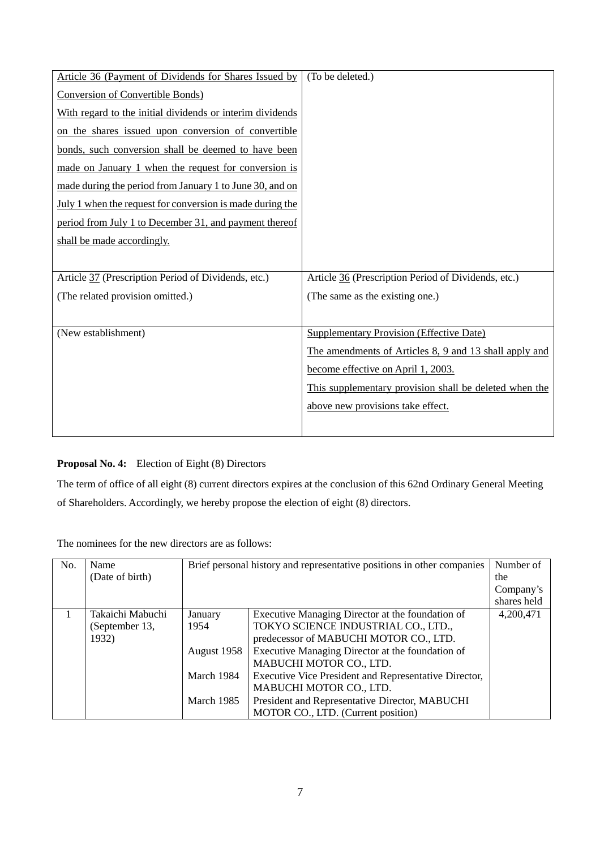| Article 36 (Payment of Dividends for Shares Issued by     | (To be deleted.)                                       |
|-----------------------------------------------------------|--------------------------------------------------------|
| <b>Conversion of Convertible Bonds)</b>                   |                                                        |
| With regard to the initial dividends or interim dividends |                                                        |
| on the shares issued upon conversion of convertible       |                                                        |
| bonds, such conversion shall be deemed to have been       |                                                        |
| made on January 1 when the request for conversion is      |                                                        |
| made during the period from January 1 to June 30, and on  |                                                        |
| July 1 when the request for conversion is made during the |                                                        |
| period from July 1 to December 31, and payment thereof    |                                                        |
| shall be made accordingly.                                |                                                        |
|                                                           |                                                        |
| Article 37 (Prescription Period of Dividends, etc.)       | Article 36 (Prescription Period of Dividends, etc.)    |
| (The related provision omitted.)                          | (The same as the existing one.)                        |
|                                                           |                                                        |
| (New establishment)                                       | <b>Supplementary Provision (Effective Date)</b>        |
|                                                           | The amendments of Articles 8, 9 and 13 shall apply and |
|                                                           | become effective on April 1, 2003.                     |
|                                                           | This supplementary provision shall be deleted when the |
|                                                           | above new provisions take effect.                      |
|                                                           |                                                        |

# **Proposal No. 4:** Election of Eight (8) Directors

The term of office of all eight (8) current directors expires at the conclusion of this 62nd Ordinary General Meeting of Shareholders. Accordingly, we hereby propose the election of eight (8) directors.

The nominees for the new directors are as follows:

| No. | Name             |             | Brief personal history and representative positions in other companies |             |
|-----|------------------|-------------|------------------------------------------------------------------------|-------------|
|     | (Date of birth)  |             |                                                                        | the         |
|     |                  |             |                                                                        | Company's   |
|     |                  |             |                                                                        | shares held |
|     | Takaichi Mabuchi | January     | Executive Managing Director at the foundation of                       | 4,200,471   |
|     | (September 13,   | 1954        | TOKYO SCIENCE INDUSTRIAL CO., LTD.,                                    |             |
|     | 1932)            |             | predecessor of MABUCHI MOTOR CO., LTD.                                 |             |
|     |                  | August 1958 | Executive Managing Director at the foundation of                       |             |
|     |                  |             | MABUCHI MOTOR CO., LTD.                                                |             |
|     |                  | March 1984  | Executive Vice President and Representative Director,                  |             |
|     |                  |             | MABUCHI MOTOR CO., LTD.                                                |             |
|     |                  | March 1985  | President and Representative Director, MABUCHI                         |             |
|     |                  |             | MOTOR CO., LTD. (Current position)                                     |             |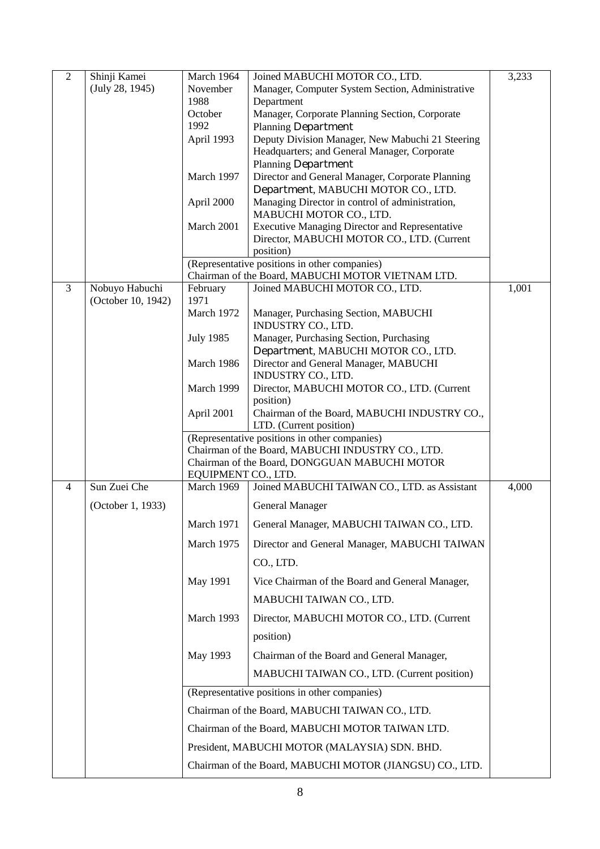| $\overline{2}$ | Shinji Kamei       | March 1964                                                   | Joined MABUCHI MOTOR CO., LTD.                                                         | 3,233 |
|----------------|--------------------|--------------------------------------------------------------|----------------------------------------------------------------------------------------|-------|
|                | (July 28, 1945)    | Manager, Computer System Section, Administrative<br>November |                                                                                        |       |
|                |                    | 1988                                                         | Department                                                                             |       |
|                |                    | October                                                      | Manager, Corporate Planning Section, Corporate                                         |       |
|                |                    | 1992                                                         | <b>Planning Department</b>                                                             |       |
|                |                    | April 1993                                                   | Deputy Division Manager, New Mabuchi 21 Steering                                       |       |
|                |                    |                                                              | Headquarters; and General Manager, Corporate                                           |       |
|                |                    |                                                              | <b>Planning Department</b>                                                             |       |
|                |                    | March 1997                                                   | Director and General Manager, Corporate Planning                                       |       |
|                |                    | April 2000                                                   | Department, MABUCHI MOTOR CO., LTD.<br>Managing Director in control of administration, |       |
|                |                    |                                                              | MABUCHI MOTOR CO., LTD.                                                                |       |
|                |                    | March 2001                                                   | <b>Executive Managing Director and Representative</b>                                  |       |
|                |                    |                                                              | Director, MABUCHI MOTOR CO., LTD. (Current                                             |       |
|                |                    |                                                              | position)<br>(Representative positions in other companies)                             |       |
|                |                    |                                                              | Chairman of the Board, MABUCHI MOTOR VIETNAM LTD.                                      |       |
| 3              | Nobuyo Habuchi     | February                                                     | Joined MABUCHI MOTOR CO., LTD.                                                         | 1,001 |
|                | (October 10, 1942) | 1971                                                         |                                                                                        |       |
|                |                    | March 1972                                                   | Manager, Purchasing Section, MABUCHI<br>INDUSTRY CO., LTD.                             |       |
|                |                    | <b>July 1985</b>                                             | Manager, Purchasing Section, Purchasing                                                |       |
|                |                    |                                                              | Department, MABUCHI MOTOR CO., LTD.                                                    |       |
|                |                    | March 1986                                                   | Director and General Manager, MABUCHI                                                  |       |
|                |                    |                                                              | INDUSTRY CO., LTD.                                                                     |       |
|                |                    | March 1999                                                   | Director, MABUCHI MOTOR CO., LTD. (Current                                             |       |
|                |                    |                                                              | position)                                                                              |       |
|                |                    | April 2001                                                   | Chairman of the Board, MABUCHI INDUSTRY CO.,<br>LTD. (Current position)                |       |
|                |                    |                                                              | (Representative positions in other companies)                                          |       |
|                |                    |                                                              | Chairman of the Board, MABUCHI INDUSTRY CO., LTD.                                      |       |
|                |                    |                                                              | Chairman of the Board, DONGGUAN MABUCHI MOTOR                                          |       |
|                |                    | EQUIPMENT CO., LTD.                                          |                                                                                        |       |
| $\overline{4}$ | Sun Zuei Che       | March 1969                                                   | Joined MABUCHI TAIWAN CO., LTD. as Assistant                                           | 4,000 |
|                | (October 1, 1933)  |                                                              | <b>General Manager</b>                                                                 |       |
|                |                    | March 1971                                                   | General Manager, MABUCHI TAIWAN CO., LTD.                                              |       |
|                |                    | March 1975                                                   | Director and General Manager, MABUCHI TAIWAN                                           |       |
|                |                    |                                                              | CO., LTD.                                                                              |       |
|                |                    | May 1991                                                     | Vice Chairman of the Board and General Manager,                                        |       |
|                |                    |                                                              | MABUCHI TAIWAN CO., LTD.                                                               |       |
|                |                    | March 1993                                                   | Director, MABUCHI MOTOR CO., LTD. (Current                                             |       |
|                |                    |                                                              | position)                                                                              |       |
|                |                    | May 1993                                                     | Chairman of the Board and General Manager,                                             |       |
|                |                    |                                                              |                                                                                        |       |
|                |                    |                                                              | MABUCHI TAIWAN CO., LTD. (Current position)                                            |       |
|                |                    |                                                              | (Representative positions in other companies)                                          |       |
|                |                    | Chairman of the Board, MABUCHI TAIWAN CO., LTD.              |                                                                                        |       |
|                |                    | Chairman of the Board, MABUCHI MOTOR TAIWAN LTD.             |                                                                                        |       |
|                |                    |                                                              | President, MABUCHI MOTOR (MALAYSIA) SDN. BHD.                                          |       |
|                |                    |                                                              | Chairman of the Board, MABUCHI MOTOR (JIANGSU) CO., LTD.                               |       |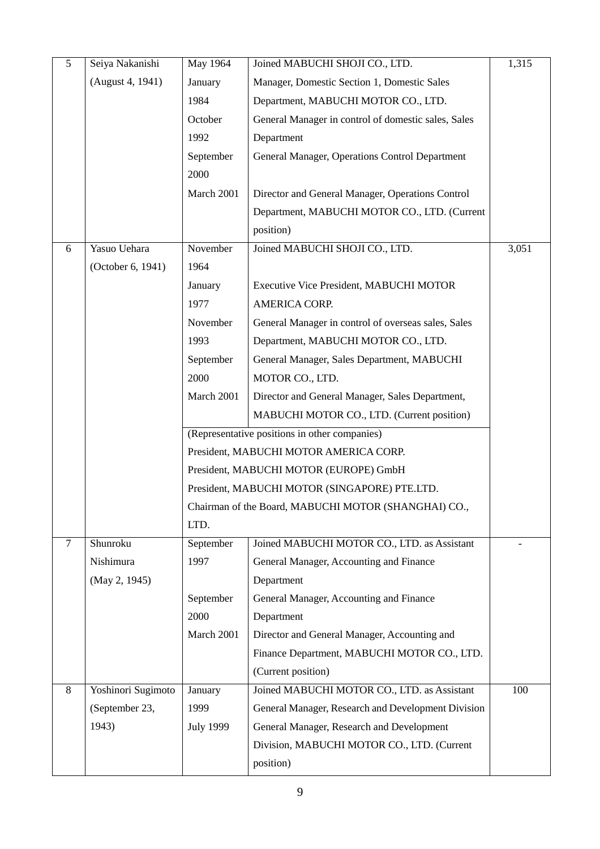| 5      | Seiya Nakanishi    | May 1964                                      | Joined MABUCHI SHOJI CO., LTD.                       | 1,315 |
|--------|--------------------|-----------------------------------------------|------------------------------------------------------|-------|
|        | (August 4, 1941)   | January                                       | Manager, Domestic Section 1, Domestic Sales          |       |
|        |                    | 1984                                          | Department, MABUCHI MOTOR CO., LTD.                  |       |
|        |                    | October                                       | General Manager in control of domestic sales, Sales  |       |
|        |                    | 1992                                          | Department                                           |       |
|        |                    | September                                     | General Manager, Operations Control Department       |       |
|        |                    | 2000                                          |                                                      |       |
|        |                    | March 2001                                    | Director and General Manager, Operations Control     |       |
|        |                    |                                               | Department, MABUCHI MOTOR CO., LTD. (Current         |       |
|        |                    |                                               | position)                                            |       |
| 6      | Yasuo Uehara       | November                                      | Joined MABUCHI SHOJI CO., LTD.                       | 3,051 |
|        | (October 6, 1941)  | 1964                                          |                                                      |       |
|        |                    | January                                       | Executive Vice President, MABUCHI MOTOR              |       |
|        |                    | 1977                                          | AMERICA CORP.                                        |       |
|        |                    | November                                      | General Manager in control of overseas sales, Sales  |       |
|        |                    | 1993                                          | Department, MABUCHI MOTOR CO., LTD.                  |       |
|        |                    | September                                     | General Manager, Sales Department, MABUCHI           |       |
|        |                    | 2000                                          | MOTOR CO., LTD.                                      |       |
|        |                    | March 2001                                    | Director and General Manager, Sales Department,      |       |
|        |                    |                                               | MABUCHI MOTOR CO., LTD. (Current position)           |       |
|        |                    | (Representative positions in other companies) |                                                      |       |
|        |                    |                                               | President, MABUCHI MOTOR AMERICA CORP.               |       |
|        |                    |                                               | President, MABUCHI MOTOR (EUROPE) GmbH               |       |
|        |                    |                                               | President, MABUCHI MOTOR (SINGAPORE) PTE.LTD.        |       |
|        |                    |                                               | Chairman of the Board, MABUCHI MOTOR (SHANGHAI) CO., |       |
|        |                    | LTD.                                          |                                                      |       |
| $\tau$ | Shunroku           | September                                     | Joined MABUCHI MOTOR CO., LTD. as Assistant          |       |
|        | Nishimura          | 1997                                          | General Manager, Accounting and Finance              |       |
|        | (May 2, 1945)      |                                               | Department                                           |       |
|        |                    | September                                     | General Manager, Accounting and Finance              |       |
|        |                    | 2000                                          | Department                                           |       |
|        |                    | March 2001                                    | Director and General Manager, Accounting and         |       |
|        |                    |                                               | Finance Department, MABUCHI MOTOR CO., LTD.          |       |
|        |                    |                                               | (Current position)                                   |       |
| 8      | Yoshinori Sugimoto | January                                       | Joined MABUCHI MOTOR CO., LTD. as Assistant          | 100   |
|        | (September 23,     | 1999                                          | General Manager, Research and Development Division   |       |
|        | 1943)              | <b>July 1999</b>                              | General Manager, Research and Development            |       |
|        |                    |                                               | Division, MABUCHI MOTOR CO., LTD. (Current           |       |
|        |                    |                                               | position)                                            |       |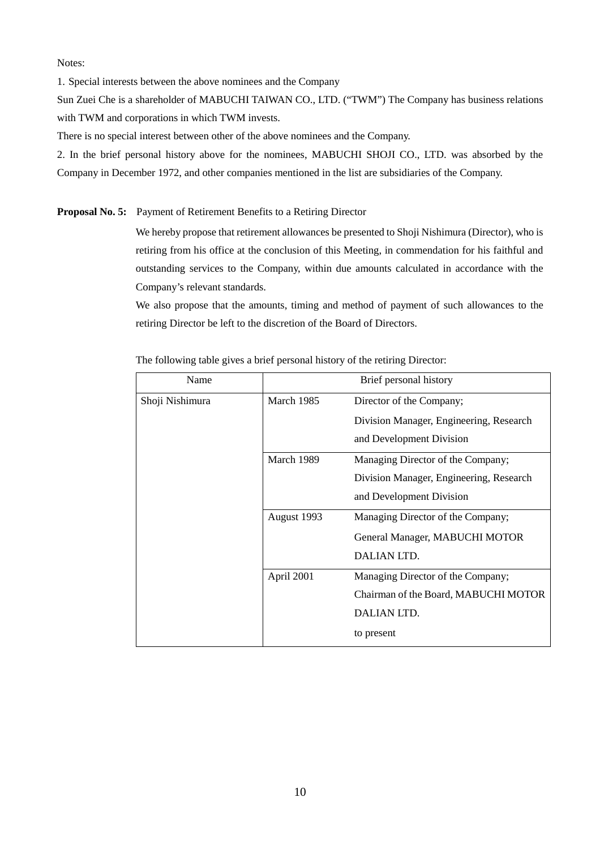Notes:

1. Special interests between the above nominees and the Company

Sun Zuei Che is a shareholder of MABUCHI TAIWAN CO., LTD. ("TWM") The Company has business relations with TWM and corporations in which TWM invests.

There is no special interest between other of the above nominees and the Company.

2. In the brief personal history above for the nominees, MABUCHI SHOJI CO., LTD. was absorbed by the Company in December 1972, and other companies mentioned in the list are subsidiaries of the Company.

**Proposal No. 5:** Payment of Retirement Benefits to a Retiring Director

We hereby propose that retirement allowances be presented to Shoji Nishimura (Director), who is retiring from his office at the conclusion of this Meeting, in commendation for his faithful and outstanding services to the Company, within due amounts calculated in accordance with the Company's relevant standards.

We also propose that the amounts, timing and method of payment of such allowances to the retiring Director be left to the discretion of the Board of Directors.

| Name            | Brief personal history |                                         |
|-----------------|------------------------|-----------------------------------------|
| Shoji Nishimura | March 1985             | Director of the Company;                |
|                 |                        | Division Manager, Engineering, Research |
|                 |                        | and Development Division                |
|                 | March 1989             | Managing Director of the Company;       |
|                 |                        | Division Manager, Engineering, Research |
|                 |                        | and Development Division                |
|                 | August 1993            | Managing Director of the Company;       |
|                 |                        | General Manager, MABUCHI MOTOR          |
|                 |                        | DALIAN LTD.                             |
|                 | April 2001             | Managing Director of the Company;       |
|                 |                        | Chairman of the Board, MABUCHI MOTOR    |
|                 |                        | DALIAN LTD.                             |
|                 |                        | to present                              |

The following table gives a brief personal history of the retiring Director: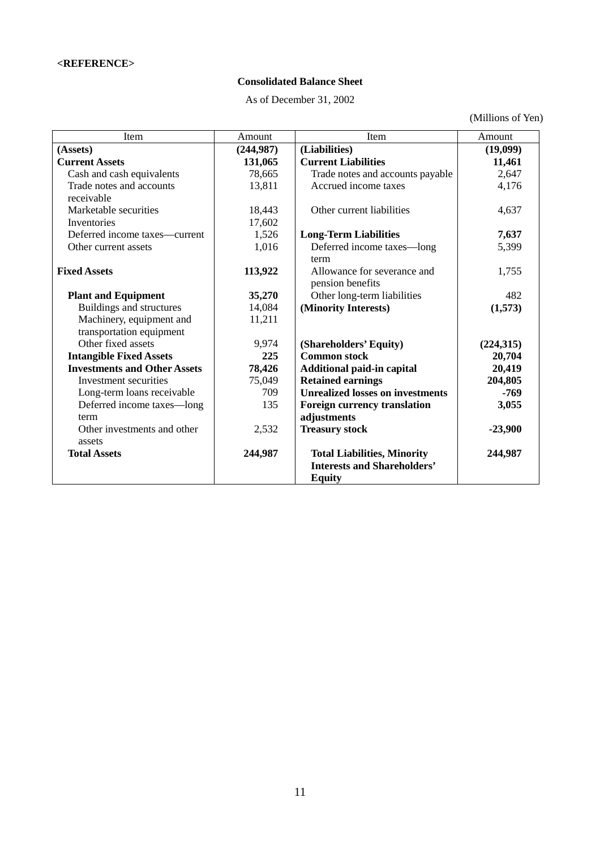# **Consolidated Balance Sheet**

As of December 31, 2002

(Millions of Yen)

| Item                                | Amount     | Item                                    | Amount     |
|-------------------------------------|------------|-----------------------------------------|------------|
| (Assets)                            | (244, 987) | (Liabilities)                           | (19,099)   |
| <b>Current Assets</b>               | 131,065    | <b>Current Liabilities</b>              | 11,461     |
| Cash and cash equivalents           | 78,665     | Trade notes and accounts payable        | 2,647      |
| Trade notes and accounts            | 13,811     | Accrued income taxes                    | 4,176      |
| receivable                          |            |                                         |            |
| Marketable securities               | 18,443     | Other current liabilities               | 4,637      |
| <b>Inventories</b>                  | 17,602     |                                         |            |
| Deferred income taxes—current       | 1,526      | <b>Long-Term Liabilities</b>            | 7,637      |
| Other current assets                | 1,016      | Deferred income taxes-long              | 5,399      |
|                                     |            | term                                    |            |
| <b>Fixed Assets</b>                 | 113,922    | Allowance for severance and             | 1,755      |
|                                     |            | pension benefits                        |            |
| <b>Plant and Equipment</b>          | 35,270     | Other long-term liabilities             | 482        |
| Buildings and structures            | 14,084     | (Minority Interests)                    | (1,573)    |
| Machinery, equipment and            | 11,211     |                                         |            |
| transportation equipment            |            |                                         |            |
| Other fixed assets                  | 9,974      | (Shareholders' Equity)                  | (224, 315) |
| <b>Intangible Fixed Assets</b>      | 225        | <b>Common stock</b>                     | 20,704     |
| <b>Investments and Other Assets</b> | 78,426     | Additional paid-in capital              | 20,419     |
| Investment securities               | 75,049     | <b>Retained earnings</b>                | 204,805    |
| Long-term loans receivable          | 709        | <b>Unrealized losses on investments</b> | $-769$     |
| Deferred income taxes—long          | 135        | Foreign currency translation            | 3,055      |
| term                                |            | adjustments                             |            |
| Other investments and other         | 2,532      | <b>Treasury stock</b>                   | $-23,900$  |
| assets                              |            |                                         |            |
| <b>Total Assets</b>                 | 244,987    | <b>Total Liabilities, Minority</b>      | 244,987    |
|                                     |            | <b>Interests and Shareholders'</b>      |            |
|                                     |            | <b>Equity</b>                           |            |